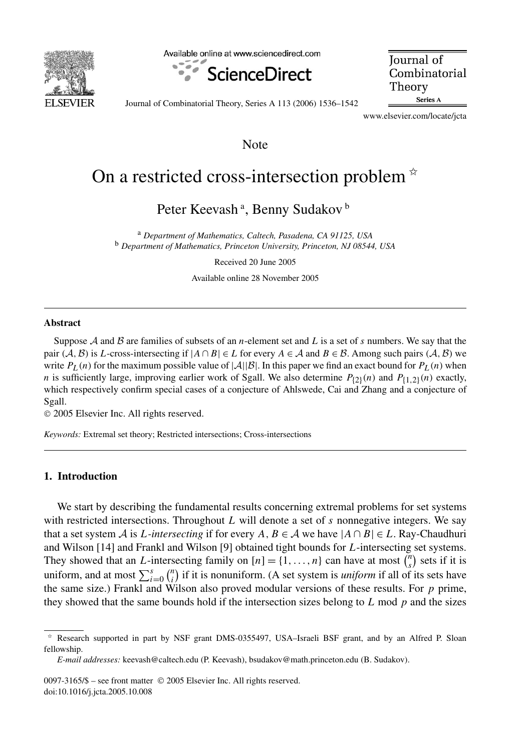

Available online at www.sciencedirect.com



**Iournal** of Combinatorial Theory Series A

Journal of Combinatorial Theory, Series A 113 (2006) 1536–1542

www.elsevier.com/locate/jcta

Note

# On a restricted cross-intersection problem  $*$

Peter Keevash ª, Benny Sudakov <sup>b</sup>

<sup>a</sup> *Department of Mathematics, Caltech, Pasadena, CA 91125, USA* <sup>b</sup> *Department of Mathematics, Princeton University, Princeton, NJ 08544, USA*

Received 20 June 2005

Available online 28 November 2005

#### **Abstract**

Suppose A and B are families of subsets of an *n*-element set and *L* is a set of *s* numbers. We say that the pair  $(A, B)$  is *L*-cross-intersecting if  $|A \cap B| \in L$  for every  $A \in \mathcal{A}$  and  $B \in \mathcal{B}$ . Among such pairs  $(A, B)$  we write  $P_L(n)$  for the maximum possible value of  $|\mathcal{A}||\mathcal{B}|$ . In this paper we find an exact bound for  $P_L(n)$  when *n* is sufficiently large, improving earlier work of Sgall. We also determine  $P_{(2)}(n)$  and  $P_{\{1,2\}}(n)$  exactly, which respectively confirm special cases of a conjecture of Ahlswede, Cai and Zhang and a conjecture of Sgall.

© 2005 Elsevier Inc. All rights reserved.

*Keywords:* Extremal set theory; Restricted intersections; Cross-intersections

## **1. Introduction**

We start by describing the fundamental results concerning extremal problems for set systems with restricted intersections. Throughout *L* will denote a set of *s* nonnegative integers. We say that a set system A is L-intersecting if for every A,  $B \in A$  we have  $|A \cap B| \in L$ . Ray-Chaudhuri and Wilson [14] and Frankl and Wilson [9] obtained tight bounds for *L*-intersecting set systems. They showed that an *L*-intersecting family on  $[n] = \{1, \ldots, n\}$  can have at most  $\binom{n}{s}$  $s$ <sup>n</sup>) sets if it is uniform, and at most  $\sum_{i=0}^{s} {n \choose i}$  $\binom{n}{i}$  if it is nonuniform. (A set system is *uniform* if all of its sets have the same size.) Frankl and Wilson also proved modular versions of these results. For *p* prime, they showed that the same bounds hold if the intersection sizes belong to *L* mod *p* and the sizes

0097-3165/\$ – see front matter © 2005 Elsevier Inc. All rights reserved. doi:10.1016/j.jcta.2005.10.008

<sup>✩</sup> Research supported in part by NSF grant DMS-0355497, USA–Israeli BSF grant, and by an Alfred P. Sloan fellowship.

*E-mail addresses:* keevash@caltech.edu (P. Keevash), bsudakov@math.princeton.edu (B. Sudakov).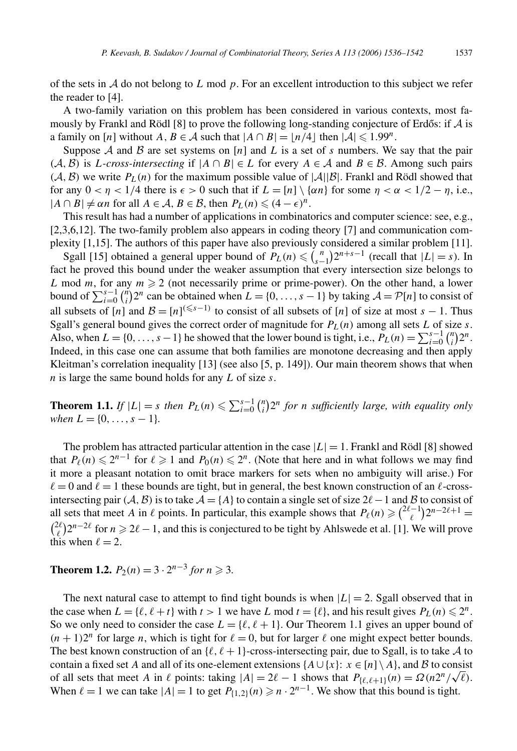of the sets in A do not belong to *L* mod *p*. For an excellent introduction to this subject we refer the reader to [4].

A two-family variation on this problem has been considered in various contexts, most famously by Frankl and Rödl [8] to prove the following long-standing conjecture of Erdős: if  $\mathcal A$  is a family on [*n*] without *A*, *B* ∈ *A* such that  $|A \cap B| = |n/4|$  then  $|A| \le 1.99^n$ .

Suppose A and B are set systems on  $[n]$  and L is a set of s numbers. We say that the pair *(A*, *B*) is *L-cross-intersecting* if  $|A \cap B|$  ∈ *L* for every  $A \in \mathcal{A}$  and  $B \in \mathcal{B}$ . Among such pairs  $(A, B)$  we write  $P_L(n)$  for the maximum possible value of  $|A||B|$ . Frankl and Rödl showed that for any  $0 < \eta < 1/4$  there is  $\epsilon > 0$  such that if  $L = \lfloor n \rfloor \setminus \{\alpha n\}$  for some  $\eta < \alpha < 1/2 - \eta$ , i.e.,  $|A \cap B| \neq \alpha n$  for all  $A \in \mathcal{A}, B \in \mathcal{B}$ , then  $P_L(n) \leq (4 - \epsilon)^n$ .

This result has had a number of applications in combinatorics and computer science: see, e.g., [2,3,6,12]. The two-family problem also appears in coding theory [7] and communication complexity [1,15]. The authors of this paper have also previously considered a similar problem [11].

Sgall [15] obtained a general upper bound of  $P_L(n) \leq {n \choose s-1} 2^{n+s-1}$  (recall that  $|L| = s$ ). In fact he proved this bound under the weaker assumption that every intersection size belongs to *L* mod *m*, for any  $m \ge 2$  (not necessarily prime or prime-power). On the other hand, a lower bound of  $\sum_{i=0}^{s-1} \binom{n}{i}$  $I_i^n/2^n$  can be obtained when  $L = \{0, ..., s - 1\}$  by taking  $\mathcal{A} = \mathcal{P}[n]$  to consist of all subsets of  $[n]$  and  $\mathcal{B} = [n]^{(\leq s-1)}$  to consist of all subsets of  $[n]$  of size at most  $s - 1$ . Thus Sgall's general bound gives the correct order of magnitude for  $P_L(n)$  among all sets *L* of size *s*. Also, when  $L = \{0, \ldots, s - 1\}$  he showed that the lower bound is tight, i.e.,  $P_L(n) = \sum_{i=0}^{s-1} {n \choose i}$  $\binom{n}{i} 2^n$ . Indeed, in this case one can assume that both families are monotone decreasing and then apply Kleitman's correlation inequality [13] (see also [5, p. 149]). Our main theorem shows that when *n* is large the same bound holds for any *L* of size *s*.

**Theorem 1.1.** *If*  $|L| = s$  *then*  $P_L(n) \le \sum_{i=0}^{s-1} {n \choose i}$ *i* 2*<sup>n</sup> for n sufficiently large, with equality only when*  $L = \{0, \ldots, s - 1\}$ *.* 

The problem has attracted particular attention in the case  $|L| = 1$ . Frankl and Rödl [8] showed that  $P_{\ell}(n) \leq 2^{n-1}$  for  $\ell \geq 1$  and  $P_0(n) \leq 2^n$ . (Note that here and in what follows we may find it more a pleasant notation to omit brace markers for sets when no ambiguity will arise.) For  $\ell = 0$  and  $\ell = 1$  these bounds are tight, but in general, the best known construction of an  $\ell$ -crossintersecting pair  $(A, B)$  is to take  $A = \{A\}$  to contain a single set of size  $2\ell - 1$  and B to consist of all sets that meet *A* in  $\ell$  points. In particular, this example shows that  $P_{\ell}(n) \geq \binom{2\ell-1}{\ell}$  $\binom{n-1}{\ell} 2^{n-2\ell+1} =$  $\int_{\ell}^{2\ell}$  $2l^2$ <sub> $l$ </sub> $2<sup>n-2l</sup>$  for  $n \ge 2l-1$ , and this is conjectured to be tight by Ahlswede et al. [1]. We will prove this when  $\ell = 2$ .

**Theorem 1.2.**  $P_2(n) = 3 \cdot 2^{n-3}$  *for n* ≥ 3.

The next natural case to attempt to find tight bounds is when  $|L| = 2$ . Sgall observed that in the case when  $L = \{\ell, \ell + t\}$  with  $t > 1$  we have  $L \text{ mod } t = \{\ell\}$ , and his result gives  $P_L(n) \leq 2^n$ . So we only need to consider the case  $L = \{\ell, \ell + 1\}$ . Our Theorem 1.1 gives an upper bound of  $(n + 1)2<sup>n</sup>$  for large *n*, which is tight for  $\ell = 0$ , but for larger  $\ell$  one might expect better bounds. The best known construction of an  $\{\ell, \ell+1\}$ -cross-intersecting pair, due to Sgall, is to take A to contain a fixed set *A* and all of its one-element extensions  $\{A \cup \{x\}: x \in [n] \setminus A\}$ , and B to consist contain a fixed set *A* and all of its one-element extensions  ${A \cup {x}}$ :  $x \in [n] \setminus A}$ , and *B* to consist of all sets that meet *A* in  $\ell$  points: taking  $|A| = 2\ell - 1$  shows that  $P_{\ell,\ell+1}(n) = \Omega(n2^n/\sqrt{\ell})$ . When  $\ell = 1$  we can take  $|A| = 1$  to get  $P_{\{1,2\}}(n) \geq n \cdot 2^{n-1}$ . We show that this bound is tight.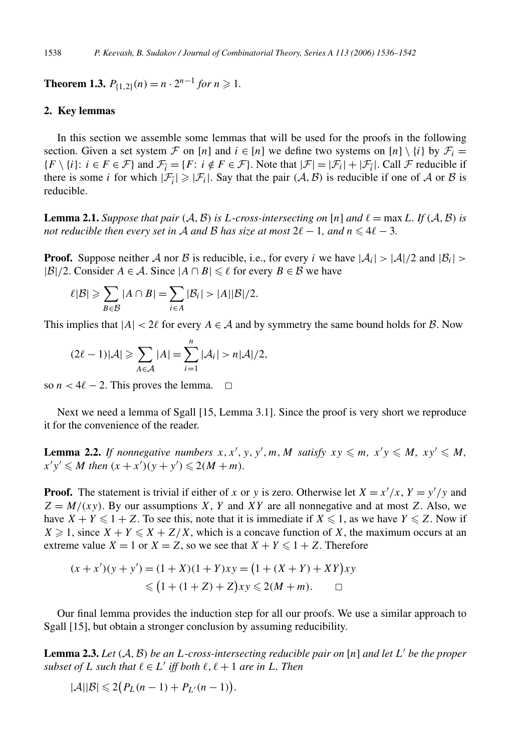**Theorem 1.3.**  $P_{\{1,2\}}(n) = n \cdot 2^{n-1}$  for  $n \ge 1$ .

## **2. Key lemmas**

In this section we assemble some lemmas that will be used for the proofs in the following section. Given a set system F on [*n*] and  $i \in [n]$  we define two systems on [*n*] \ {*i*} by  $\mathcal{F}_i$  =  ${F \setminus \{i\} : i \in F \in \mathcal{F}\}\$ and  $\mathcal{F}_i = {F : i \notin F \in \mathcal{F}}\$ . Note that  $|\mathcal{F}| = |\mathcal{F}_i| + |\mathcal{F}_i|$ . Call  $\mathcal F$  reducible if there is some *i* for which  $|\mathcal{F}_i| \geq |\mathcal{F}_i|$ . Say that the pair  $(\mathcal{A}, \mathcal{B})$  is reducible if one of  $\mathcal A$  or  $\mathcal B$  is reducible.

**Lemma 2.1.** *Suppose that pair*  $(A, B)$  *is L*-*cross-intersecting on* [*n*] *and*  $\ell = \max L$ *. If*  $(A, B)$  *is not reducible then every set in A and B has size at most*  $2\ell - 1$ *, and n*  $\leqslant 4\ell - 3$ *.* 

**Proof.** Suppose neither A nor B is reducible, i.e., for every *i* we have  $|A_i| > |A|/2$  and  $|B_i| >$  $|\mathcal{B}|/2$ . Consider  $A \in \mathcal{A}$ . Since  $|A \cap B| \leq \ell$  for every  $B \in \mathcal{B}$  we have

$$
\ell|\mathcal{B}| \geqslant \sum_{B \in \mathcal{B}} |A \cap B| = \sum_{i \in A} |\mathcal{B}_i| > |A||\mathcal{B}|/2.
$$

This implies that  $|A| < 2\ell$  for every  $A \in \mathcal{A}$  and by symmetry the same bound holds for  $\mathcal{B}$ . Now

$$
(2\ell - 1)|\mathcal{A}| \geqslant \sum_{A \in \mathcal{A}} |A| = \sum_{i=1}^{n} |\mathcal{A}_i| > n|\mathcal{A}|/2,
$$

so  $n < 4\ell - 2$ . This proves the lemma.  $\Box$ 

Next we need a lemma of Sgall [15, Lemma 3.1]. Since the proof is very short we reproduce it for the convenience of the reader.

**Lemma 2.2.** If nonnegative numbers  $x, x', y, y', m, M$  satisfy  $xy \leq m$ ,  $x'y \leq M$ ,  $xy' \leq M$ ,  $x'y' \leq M$  then  $(x + x')(y + y') \leq 2(M + m)$ *.* 

**Proof.** The statement is trivial if either of *x* or *y* is zero. Otherwise let  $X = x'/x$ ,  $Y = y'/y$  and  $Z = M/(xy)$ . By our assumptions *X*, *Y* and *XY* are all nonnegative and at most *Z*. Also, we have  $X + Y \leq 1 + Z$ . To see this, note that it is immediate if  $X \leq 1$ , as we have  $Y \leq Z$ . Now if  $X \geq 1$ , since  $X + Y \leq X + Z/X$ , which is a concave function of X, the maximum occurs at an extreme value  $X = 1$  or  $X = Z$ , so we see that  $X + Y \le 1 + Z$ . Therefore

$$
(x + x')(y + y') = (1 + X)(1 + Y)xy = (1 + (X + Y) + XY)xy
$$
  
\$\leq (1 + (1 + Z) + Z)xy \leq 2(M + m). \square\$

Our final lemma provides the induction step for all our proofs. We use a similar approach to Sgall [15], but obtain a stronger conclusion by assuming reducibility.

**Lemma 2.3.** Let  $(A, B)$  be an *L*-cross-intersecting reducible pair on  $[n]$  and let  $L'$  be the proper *subset of L such that*  $\ell \in L'$  *iff both*  $\ell, \ell + 1$  *are in L. Then* 

$$
|\mathcal{A}||\mathcal{B}| \leq 2\big(P_L(n-1) + P_{L'}(n-1)\big).
$$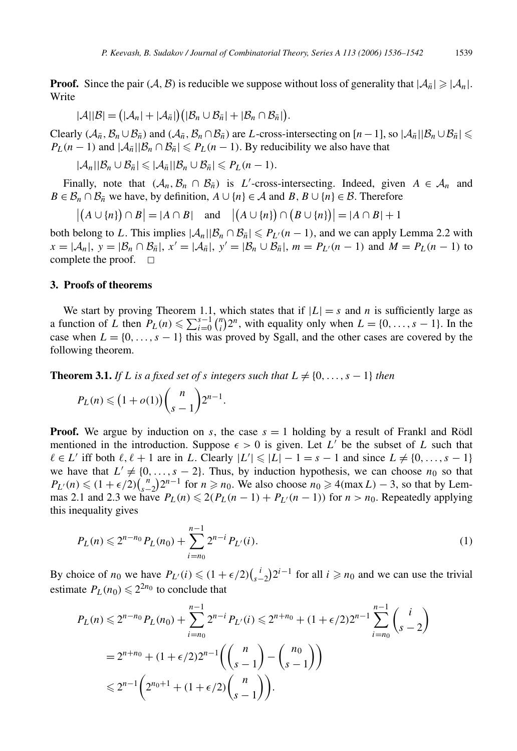**Proof.** Since the pair  $(A, B)$  is reducible we suppose without loss of generality that  $|A_{\bar{n}}| \geq |A_n|$ . Write

$$
|\mathcal{A}||\mathcal{B}| = (|\mathcal{A}_n| + |\mathcal{A}_{\bar{n}}|)(|\mathcal{B}_n \cup \mathcal{B}_{\bar{n}}| + |\mathcal{B}_n \cap \mathcal{B}_{\bar{n}}|).
$$

Clearly  $(A_{\bar{n}}, B_{\bar{n}} \cup B_{\bar{n}})$  and  $(A_{\bar{n}}, B_{\bar{n}} \cap B_{\bar{n}})$  are *L*-cross-intersecting on  $[n-1]$ , so  $|A_{\bar{n}}||B_{\bar{n}} \cup B_{\bar{n}}| \le$  $P_L(n-1)$  and  $|\mathcal{A}_{\bar{n}}||\mathcal{B}_n \cap \mathcal{B}_{\bar{n}}| \leq P_L(n-1)$ . By reducibility we also have that

 $|\mathcal{A}_n||\mathcal{B}_n \cup \mathcal{B}_{\bar{n}}| \leq |\mathcal{A}_{\bar{n}}||\mathcal{B}_n \cup \mathcal{B}_{\bar{n}}| \leq P_L(n-1).$ 

Finally, note that  $(A_n, B_n \cap B_{\overline{n}})$  is *L*'-cross-intersecting. Indeed, given  $A \in \mathcal{A}_n$  and *B* ∈  $B_n$  ∩  $B_{\overline{n}}$  we have, by definition, *A* ∪ {*n*} ∈ *A* and *B*, *B* ∪ {*n*} ∈ *B*. Therefore

 $|(A \cup \{n\}) \cap B| = |A \cap B|$  and  $|(A \cup \{n\}) \cap (B \cup \{n\})| = |A \cap B| + 1$ 

both belong to *L*. This implies  $|\mathcal{A}_n||\mathcal{B}_n \cap \mathcal{B}_n \leq P_{L'}(n-1)$ , and we can apply Lemma 2.2 with  $x = |A_n|, y = |B_n \cap B_{\bar{n}}|, x' = |A_{\bar{n}}|, y' = |B_n \cup B_{\bar{n}}|, m = P_{L}(n-1)$  and  $M = P_L(n-1)$  to complete the proof.  $\square$ 

#### **3. Proofs of theorems**

We start by proving Theorem 1.1, which states that if  $|L| = s$  and *n* is sufficiently large as a function of *L* then  $P_L(n) \leq \sum_{i=0}^{s-1} {n \choose i}$  $\binom{n}{i} 2^n$ , with equality only when  $L = \{0, \ldots, s - 1\}$ . In the case when  $L = \{0, \ldots, s - 1\}$  this was proved by Sgall, and the other cases are covered by the following theorem.

**Theorem 3.1.** *If L is a fixed set of <i>s integers such that*  $L \neq \{0, \ldots, s - 1\}$  *then* 

$$
P_L(n) \leq (1+o(1))\binom{n}{s-1}2^{n-1}.
$$

**Proof.** We argue by induction on *s*, the case  $s = 1$  holding by a result of Frankl and Rödl mentioned in the introduction. Suppose  $\epsilon > 0$  is given. Let L' be the subset of L such that  $\ell \in L'$  iff both  $\ell, \ell + 1$  are in *L*. Clearly  $|L'| \leq |L| - 1 = s - 1$  and since  $L \neq \{0, \ldots, s - 1\}$ we have that  $L' \neq \{0, \ldots, s - 2\}$ . Thus, by induction hypothesis, we can choose  $n_0$  so that  $P_{L'}(n) \leq (1 + \epsilon/2) {n \choose s-2} 2^{n-1}$  for  $n \geq n_0$ . We also choose  $n_0 \geq 4$ (max *L*) − 3, so that by Lemmas 2.1 and 2.3 we have  $P_L(n) \leq 2(P_L(n-1) + P_{L'}(n-1))$  for  $n > n_0$ . Repeatedly applying this inequality gives

$$
P_L(n) \leq 2^{n-n_0} P_L(n_0) + \sum_{i=n_0}^{n-1} 2^{n-i} P_{L'}(i).
$$
 (1)

By choice of  $n_0$  we have  $P_{L'}(i) \leq (1 + \epsilon/2) {i \choose s-2} 2^{i-1}$  for all  $i \geq n_0$  and we can use the trivial estimate  $P_L(n_0) \leq 2^{2n_0}$  to conclude that

$$
P_L(n) \leq 2^{n-n_0} P_L(n_0) + \sum_{i=n_0}^{n-1} 2^{n-i} P_{L'}(i) \leq 2^{n+n_0} + (1+\epsilon/2) 2^{n-1} \sum_{i=n_0}^{n-1} {i \choose s-2}
$$
  
=  $2^{n+n_0} + (1+\epsilon/2) 2^{n-1} \left( {n \choose s-1} - {n_0 \choose s-1} \right)$   
 $\leq 2^{n-1} \left( 2^{n_0+1} + (1+\epsilon/2) {n \choose s-1} \right).$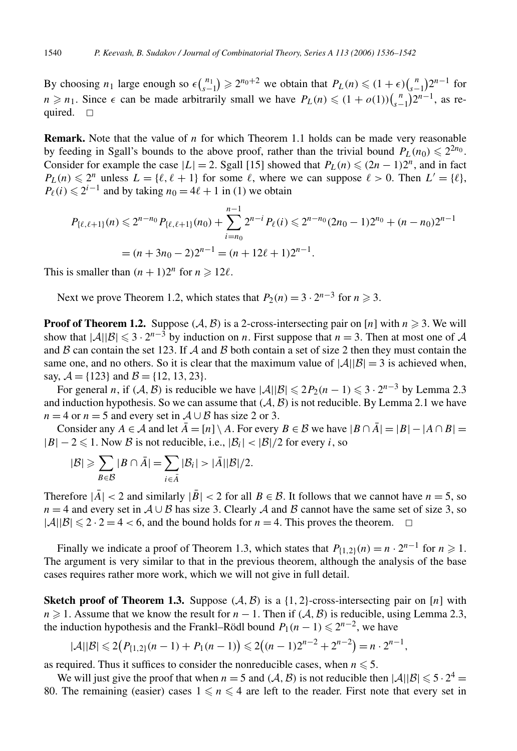By choosing  $n_1$  large enough so  $\epsilon {n_1 \choose s-1} \ge 2^{n_0+2}$  we obtain that  $P_L(n) \le (1+\epsilon){n \choose s-1}2^{n-1}$  for *n* ≥ *n*<sub>1</sub>. Since  $\epsilon$  can be made arbitrarily small we have  $P_L(n) \leq (1 + o(1))\binom{n}{s-1}2^{n-1}$ , as required.  $\square$ 

**Remark.** Note that the value of *n* for which Theorem 1.1 holds can be made very reasonable by feeding in Sgall's bounds to the above proof, rather than the trivial bound  $P_L(n_0) \leq 2^{2n_0}$ . Consider for example the case  $|L| = 2$ . Sgall [15] showed that  $P_L(n) \le (2n - 1)2^n$ , and in fact  $P_L(n) \leq 2^n$  unless  $L = \{\ell, \ell + 1\}$  for some  $\ell$ , where we can suppose  $\ell > 0$ . Then  $L' = \{\ell\},$  $P_{\ell}(i) \leq 2^{i-1}$  and by taking  $n_0 = 4\ell + 1$  in (1) we obtain

$$
P_{\{\ell,\ell+1\}}(n) \leq 2^{n-n_0} P_{\{\ell,\ell+1\}}(n_0) + \sum_{i=n_0}^{n-1} 2^{n-i} P_{\ell}(i) \leq 2^{n-n_0} (2n_0 - 1) 2^{n_0} + (n - n_0) 2^{n-1}
$$
  
=  $(n + 3n_0 - 2) 2^{n-1} = (n + 12\ell + 1) 2^{n-1}.$ 

This is smaller than  $(n + 1)2^n$  for  $n \ge 12\ell$ .

Next we prove Theorem 1.2, which states that  $P_2(n) = 3 \cdot 2^{n-3}$  for  $n \ge 3$ .

**Proof of Theorem 1.2.** Suppose  $(A, B)$  is a 2-cross-intersecting pair on [*n*] with  $n \ge 3$ . We will show that  $|\mathcal{A}||\mathcal{B}| \leq 3 \cdot 2^{n-3}$  by induction on *n*. First suppose that  $n = 3$ . Then at most one of A and  $\beta$  can contain the set 123. If  $\beta$  and  $\beta$  both contain a set of size 2 then they must contain the same one, and no others. So it is clear that the maximum value of  $|\mathcal{A}||\mathcal{B}| = 3$  is achieved when, say,  $A = \{123\}$  and  $B = \{12, 13, 23\}$ .

For general *n*, if  $(A, B)$  is reducible we have  $|A||B| \le 2P_2(n-1) \le 3 \cdot 2^{n-3}$  by Lemma 2.3 and induction hypothesis. So we can assume that  $(A, B)$  is not reducible. By Lemma 2.1 we have *n* = 4 or *n* = 5 and every set in  $A \cup B$  has size 2 or 3.

Consider any *A* ∈ *A* and let  $\overline{A}$  = [*n*] \ *A*. For every *B* ∈ *B* we have  $|B \cap \overline{A}|$  =  $|B| - |A \cap B|$  =  $|B| - 2 \le 1$ . Now B is not reducible, i.e.,  $|B_i| < |B|/2$  for every *i*, so

$$
|\mathcal{B}| \geqslant \sum_{B \in \mathcal{B}} |B \cap \bar{A}| = \sum_{i \in \bar{A}} |\mathcal{B}_i| > |\bar{A}| |\mathcal{B}|/2.
$$

Therefore  $|\bar{A}| < 2$  and similarly  $|\bar{B}| < 2$  for all  $B \in \mathcal{B}$ . It follows that we cannot have  $n = 5$ , so  $n = 4$  and every set in  $A \cup B$  has size 3. Clearly A and B cannot have the same set of size 3, so  $|\mathcal{A}||\mathcal{B}| \leq 2 \cdot 2 = 4 < 6$ , and the bound holds for  $n = 4$ . This proves the theorem.  $\Box$ 

Finally we indicate a proof of Theorem 1.3, which states that  $P_{\{1,2\}}(n) = n \cdot 2^{n-1}$  for  $n \ge 1$ . The argument is very similar to that in the previous theorem, although the analysis of the base cases requires rather more work, which we will not give in full detail.

**Sketch proof of Theorem 1.3.** Suppose  $(A, B)$  is a  $\{1, 2\}$ -cross-intersecting pair on [*n*] with *n*  $\ge$  1. Assume that we know the result for *n* − 1. Then if  $(A, B)$  is reducible, using Lemma 2.3, the induction hypothesis and the Frankl–Rödl bound  $P_1(n-1) \leq 2^{n-2}$ , we have

$$
|\mathcal{A}||\mathcal{B}| \leq 2(P_{\{1,2\}}(n-1) + P_1(n-1)) \leq 2((n-1)2^{n-2} + 2^{n-2}) = n \cdot 2^{n-1},
$$

as required. Thus it suffices to consider the nonreducible cases, when  $n \leq 5$ .

We will just give the proof that when  $n = 5$  and  $(A, B)$  is not reducible then  $|A||B| \leq 5 \cdot 2^4 =$ 80. The remaining (easier) cases  $1 \leq n \leq 4$  are left to the reader. First note that every set in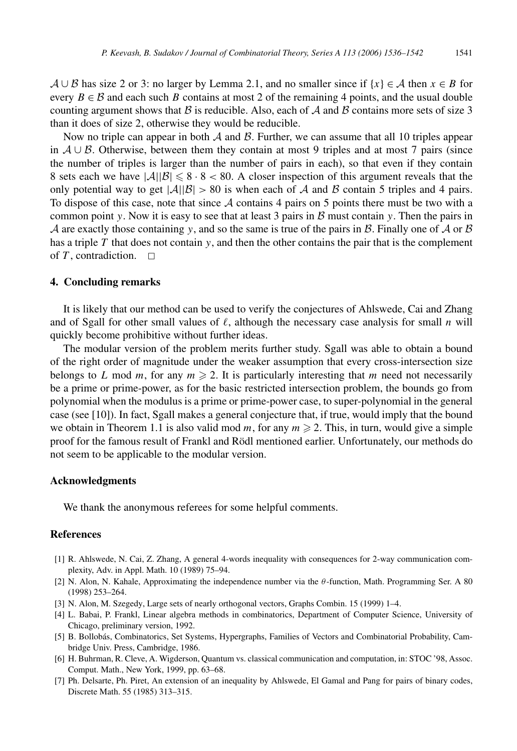$A \cup B$  has size 2 or 3: no larger by Lemma 2.1, and no smaller since if  $\{x\} \in A$  then  $x \in B$  for every  $B \in \mathcal{B}$  and each such *B* contains at most 2 of the remaining 4 points, and the usual double counting argument shows that B is reducible. Also, each of A and B contains more sets of size 3 than it does of size 2, otherwise they would be reducible.

Now no triple can appear in both  $A$  and  $B$ . Further, we can assume that all 10 triples appear in  $A \cup B$ . Otherwise, between them they contain at most 9 triples and at most 7 pairs (since the number of triples is larger than the number of pairs in each), so that even if they contain 8 sets each we have  $|\mathcal{A}||\mathcal{B}| \leq 8 \cdot 8 < 80$ . A closer inspection of this argument reveals that the only potential way to get  $|\mathcal{A}||\mathcal{B}| > 80$  is when each of A and B contain 5 triples and 4 pairs. To dispose of this case, note that since  $A$  contains 4 pairs on 5 points there must be two with a common point *y*. Now it is easy to see that at least 3 pairs in  $\beta$  must contain *y*. Then the pairs in A are exactly those containing *y*, and so the same is true of the pairs in B. Finally one of A or B has a triple  $T$  that does not contain  $y$ , and then the other contains the pair that is the complement of  $T$ , contradiction.  $\Box$ 

#### **4. Concluding remarks**

It is likely that our method can be used to verify the conjectures of Ahlswede, Cai and Zhang and of Sgall for other small values of  $\ell$ , although the necessary case analysis for small *n* will quickly become prohibitive without further ideas.

The modular version of the problem merits further study. Sgall was able to obtain a bound of the right order of magnitude under the weaker assumption that every cross-intersection size belongs to *L* mod *m*, for any  $m \ge 2$ . It is particularly interesting that *m* need not necessarily be a prime or prime-power, as for the basic restricted intersection problem, the bounds go from polynomial when the modulus is a prime or prime-power case, to super-polynomial in the general case (see [10]). In fact, Sgall makes a general conjecture that, if true, would imply that the bound we obtain in Theorem 1.1 is also valid mod  $m$ , for any  $m \ge 2$ . This, in turn, would give a simple proof for the famous result of Frankl and Rödl mentioned earlier. Unfortunately, our methods do not seem to be applicable to the modular version.

#### **Acknowledgments**

We thank the anonymous referees for some helpful comments.

## **References**

- [1] R. Ahlswede, N. Cai, Z. Zhang, A general 4-words inequality with consequences for 2-way communication complexity, Adv. in Appl. Math. 10 (1989) 75–94.
- [2] N. Alon, N. Kahale, Approximating the independence number via the *θ* -function, Math. Programming Ser. A 80 (1998) 253–264.
- [3] N. Alon, M. Szegedy, Large sets of nearly orthogonal vectors, Graphs Combin. 15 (1999) 1–4.
- [4] L. Babai, P. Frankl, Linear algebra methods in combinatorics, Department of Computer Science, University of Chicago, preliminary version, 1992.
- [5] B. Bollobás, Combinatorics, Set Systems, Hypergraphs, Families of Vectors and Combinatorial Probability, Cambridge Univ. Press, Cambridge, 1986.
- [6] H. Buhrman, R. Cleve, A. Wigderson, Quantum vs. classical communication and computation, in: STOC '98, Assoc. Comput. Math., New York, 1999, pp. 63–68.
- [7] Ph. Delsarte, Ph. Piret, An extension of an inequality by Ahlswede, El Gamal and Pang for pairs of binary codes, Discrete Math. 55 (1985) 313–315.